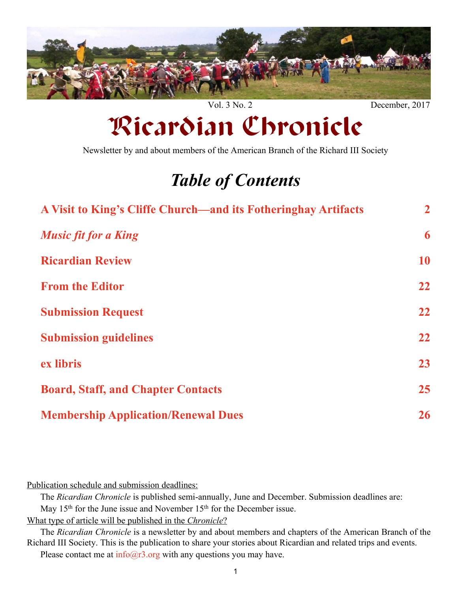<span id="page-0-0"></span>

Vol. 3 No. 2 December, 2017

# Ricardian Chronicle

Newsletter by and about members of the American Branch of the Richard III Society

## *Table of Contents*

| A Visit to King's Cliffe Church—and its Fotheringhay Artifacts | $\overline{2}$ |
|----------------------------------------------------------------|----------------|
| <b>Music fit for a King</b>                                    | 6              |
| <b>Ricardian Review</b>                                        | 10             |
| <b>From the Editor</b>                                         | 22             |
| <b>Submission Request</b>                                      | 22             |
| <b>Submission guidelines</b>                                   | 22             |
| ex libris                                                      | 23             |
| <b>Board, Staff, and Chapter Contacts</b>                      | 25             |
| <b>Membership Application/Renewal Dues</b>                     | 26             |

Publication schedule and submission deadlines:

The *Ricardian Chronicle* is published semi-annually, June and December. Submission deadlines are:

May 15<sup>th</sup> for the June issue and November 15<sup>th</sup> for the December issue.

What type of article will be published in the *Chronicle*?

The *Ricardian Chronicle* is a newsletter by and about members and chapters of the American Branch of the Richard III Society. This is the publication to share your stories about Ricardian and related trips and events.

Please contact me at  $\frac{info(@r3.org)}{with}$  any questions you may have.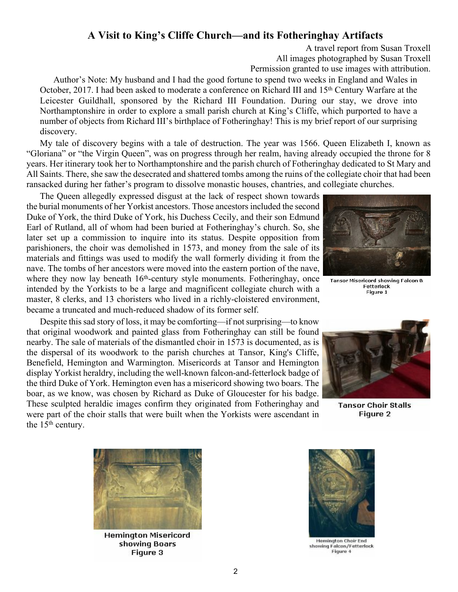## **A Visit to King's Cliffe Church—and its Fotheringhay Artifacts**

A travel report from Susan Troxell All images photographed by Susan Troxell Permission granted to use images with attribution.

<span id="page-1-0"></span>Author's Note: My husband and I had the good fortune to spend two weeks in England and Wales in October, 2017. I had been asked to moderate a conference on Richard III and 15<sup>th</sup> Century Warfare at the Leicester Guildhall, sponsored by the Richard III Foundation. During our stay, we drove into Northamptonshire in order to explore a small parish church at King's Cliffe, which purported to have a number of objects from Richard III's birthplace of Fotheringhay! This is my brief report of our surprising discovery.

My tale of discovery begins with a tale of destruction. The year was 1566. Queen Elizabeth I, known as "Gloriana" or "the Virgin Queen", was on progress through her realm, having already occupied the throne for 8 years. Her itinerary took her to Northamptonshire and the parish church of Fotheringhay dedicated to St Mary and All Saints. There, she saw the desecrated and shattered tombs among the ruins of the collegiate choir that had been ransacked during her father's program to dissolve monastic houses, chantries, and collegiate churches.

The Queen allegedly expressed disgust at the lack of respect shown towards the burial monuments of her Yorkist ancestors. Those ancestors included the second Duke of York, the third Duke of York, his Duchess Cecily, and their son Edmund Earl of Rutland, all of whom had been buried at Fotheringhay's church. So, she later set up a commission to inquire into its status. Despite opposition from parishioners, the choir was demolished in 1573, and money from the sale of its materials and fittings was used to modify the wall formerly dividing it from the nave. The tombs of her ancestors were moved into the eastern portion of the nave, where they now lay beneath  $16<sup>th</sup>$ -century style monuments. Fotheringhay, once intended by the Yorkists to be a large and magnificent collegiate church with a master, 8 clerks, and 13 choristers who lived in a richly-cloistered environment, became a truncated and much-reduced shadow of its former self.

Despite this sad story of loss, it may be comforting—if not surprising—to know that original woodwork and painted glass from Fotheringhay can still be found nearby. The sale of materials of the dismantled choir in 1573 is documented, as is the dispersal of its woodwork to the parish churches at Tansor, King's Cliffe, Benefield, Hemington and Warmington. Misericords at Tansor and Hemington display Yorkist heraldry, including the well-known falcon-and-fetterlock badge of the third Duke of York. Hemington even has a misericord showing two boars. The boar, as we know, was chosen by Richard as Duke of Gloucester for his badge. These sculpted heraldic images confirm they originated from Fotheringhay and were part of the choir stalls that were built when the Yorkists were ascendant in the 15<sup>th</sup> century.



**Tansor Misericord showing Falcon &** Fetterlock Figure 1



**Tansor Choir Stalls** Figure 2



**Hemington Misericord** showing Boars Figure 3



**Hemington Choir End** showing Falcon/Fetterlock Figure 4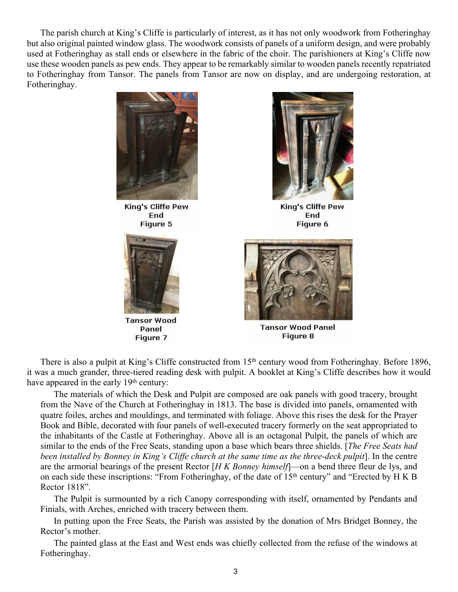The parish church at King's Cliffe is particularly of interest, as it has not only woodwork from Fotheringhay but also original painted window glass. The woodwork consists of panels of a uniform design, and were probably used at Fotheringhay as stall ends or elsewhere in the fabric of the choir. The parishioners at King's Cliffe now use these wooden panels as pew ends. They appear to be remarkably similar to wooden panels recently repatriated to Fotheringhay from Tansor. The panels from Tansor are now on display, and are undergoing restoration, at Fotheringhay.



Figure 5



**Tansor Wood** Panel Figure 7



King's Cliffe Pew End Figure 6



Tansor Wood Panel Figure 8

There is also a pulpit at King's Cliffe constructed from 15<sup>th</sup> century wood from Fotheringhay. Before 1896, it was a much grander, three-tiered reading desk with pulpit. A booklet at King's Cliffe describes how it would have appeared in the early 19<sup>th</sup> century:

The materials of which the Desk and Pulpit are composed are oak panels with good tracery, brought from the Nave of the Church at Fotheringhay in 1813. The base is divided into panels, ornamented with quatre foiles, arches and mouldings, and terminated with foliage. Above this rises the desk for the Prayer Book and Bible, decorated with four panels of well-executed tracery formerly on the seat appropriated to the inhabitants of the Castle at Fotheringhay. Above all is an octagonal Pulpit, the panels of which are similar to the ends of the Free Seats, standing upon a base which bears three shields. [*The Free Seats had been installed by Bonney in King's Cliffe church at the same time as the three-deck pulpit*]. In the centre are the armorial bearings of the present Rector [*H K Bonney himself*]—on a bend three fleur de lys, and on each side these inscriptions: "From Fotheringhay, of the date of 15<sup>th</sup> century" and "Erected by H K B Rector 1818".

The Pulpit is surmounted by a rich Canopy corresponding with itself, ornamented by Pendants and Finials, with Arches, enriched with tracery between them.

In putting upon the Free Seats, the Parish was assisted by the donation of Mrs Bridget Bonney, the Rector's mother.

The painted glass at the East and West ends was chiefly collected from the refuse of the windows at Fotheringhay.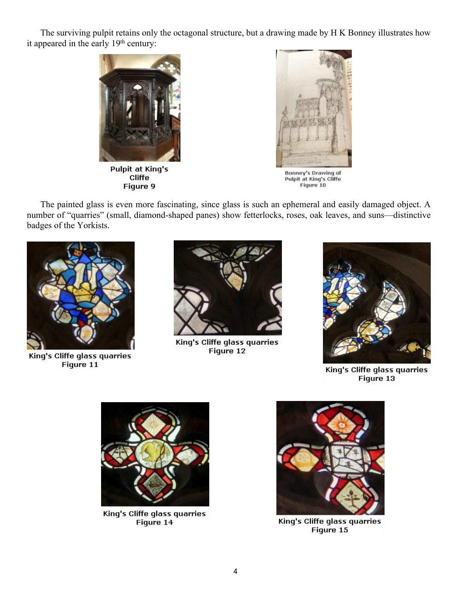The surviving pulpit retains only the octagonal structure, but a drawing made by H K Bonney illustrates how it appeared in the early 19<sup>th</sup> century:



**Pulpit at King's** Cliffe Figure 9



Bonney's Drawing of Pulpit at King's Cliffe<br>Figure 10

The painted glass is even more fascinating, since glass is such an ephemeral and easily damaged object. A number of "quarries" (small, diamond-shaped panes) show fetterlocks, roses, oak leaves, and suns—distinctive badges of the Yorkists.



King's Cliffe glass quarries Figure 11



King's Cliffe glass quarries Figure 12



King's Cliffe glass quarries Figure 13



King's Cliffe glass quarries Figure 14



King's Cliffe glass quarries Figure 15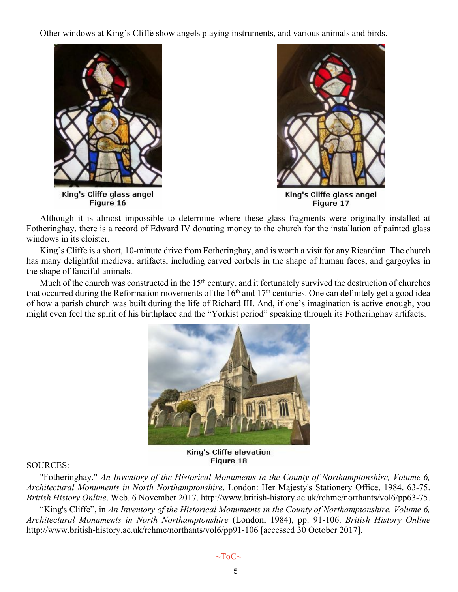Other windows at King's Cliffe show angels playing instruments, and various animals and birds.





Although it is almost impossible to determine where these glass fragments were originally installed at Fotheringhay, there is a record of Edward IV donating money to the church for the installation of painted glass windows in its cloister.

King's Cliffe is a short, 10-minute drive from Fotheringhay, and is worth a visit for any Ricardian. The church has many delightful medieval artifacts, including carved corbels in the shape of human faces, and gargoyles in the shape of fanciful animals.

Much of the church was constructed in the 15<sup>th</sup> century, and it fortunately survived the destruction of churches that occurred during the Reformation movements of the  $16<sup>th</sup>$  and  $17<sup>th</sup>$  centuries. One can definitely get a good idea of how a parish church was built during the life of Richard III. And, if one's imagination is active enough, you might even feel the spirit of his birthplace and the "Yorkist period" speaking through its Fotheringhay artifacts.



Figure 18

#### SOURCES:

"Fotheringhay." *An Inventory of the Historical Monuments in the County of Northamptonshire, Volume 6, Architectural Monuments in North Northamptonshire*. London: Her Majesty's Stationery Office, 1984. 63-75. *British History Online*. Web. 6 November 2017. http://www.british-history.ac.uk/rchme/northants/vol6/pp63-75. "King's Cliffe", in *An Inventory of the Historical Monuments in the County of Northamptonshire, Volume 6, Architectural Monuments in North Northamptonshire* (London, 1984), pp. 91-106. *British History Online* http://www.british-history.ac.uk/rchme/northants/vol6/pp91-106 [accessed 30 October 2017].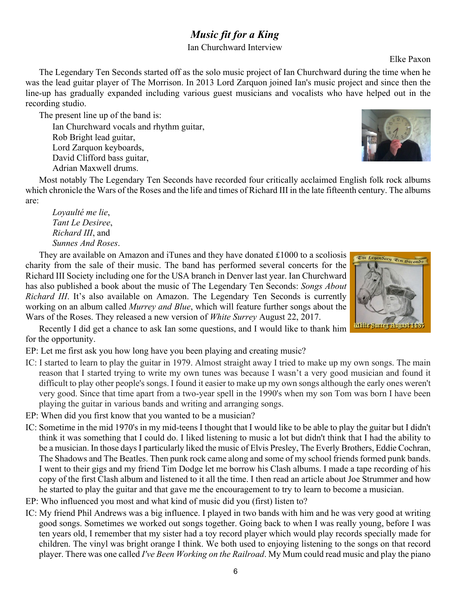## *Music fit for a King*

Ian Churchward Interview

Elke Paxon

<span id="page-5-0"></span>The Legendary Ten Seconds started off as the solo music project of Ian Churchward during the time when he was the lead guitar player of The Morrison. In 2013 Lord Zarquon joined Ian's music project and since then the line-up has gradually expanded including various guest musicians and vocalists who have helped out in the recording studio.

The present line up of the band is: Ian Churchward vocals and rhythm guitar, Rob Bright lead guitar, Lord Zarquon keyboards, David Clifford bass guitar,

Most notably The Legendary Ten Seconds have recorded four critically acclaimed English folk rock albums which chronicle the Wars of the Roses and the life and times of Richard III in the late fifteenth century. The albums are:

*Loyaulté me lie*, *Tant Le Desiree*, *Richard III*, and *Sunnes And Roses*.

Adrian Maxwell drums.

They are available on Amazon and iTunes and they have donated £1000 to a scoliosis charity from the sale of their music. The band has performed several concerts for the Richard III Society including one for the USA branch in Denver last year. Ian Churchward has also published a book about the music of The Legendary Ten Seconds: *Songs About Richard III*. It's also available on Amazon. The Legendary Ten Seconds is currently working on an album called *Murrey and Blue*, which will feature further songs about the Wars of the Roses. They released a new version of *White Surrey* August 22, 2017.

Recently I did get a chance to ask Ian some questions, and I would like to thank him for the opportunity.

EP: Let me first ask you how long have you been playing and creating music?

- IC: I started to learn to play the guitar in 1979. Almost straight away I tried to make up my own songs. The main reason that I started trying to write my own tunes was because I wasn't a very good musician and found it difficult to play other people's songs. I found it easier to make up my own songs although the early ones weren't very good. Since that time apart from a two-year spell in the 1990's when my son Tom was born I have been playing the guitar in various bands and writing and arranging songs.
- EP: When did you first know that you wanted to be a musician?
- IC: Sometime in the mid 1970's in my mid-teens I thought that I would like to be able to play the guitar but I didn't think it was something that I could do. I liked listening to music a lot but didn't think that I had the ability to be a musician. In those days I particularly liked the music of Elvis Presley, The Everly Brothers, Eddie Cochran, The Shadows and The Beatles. Then punk rock came along and some of my school friends formed punk bands. I went to their gigs and my friend Tim Dodge let me borrow his Clash albums. I made a tape recording of his copy of the first Clash album and listened to it all the time. I then read an article about Joe Strummer and how he started to play the guitar and that gave me the encouragement to try to learn to become a musician.
- EP: Who influenced you most and what kind of music did you (first) listen to?
- IC: My friend Phil Andrews was a big influence. I played in two bands with him and he was very good at writing good songs. Sometimes we worked out songs together. Going back to when I was really young, before I was ten years old, I remember that my sister had a toy record player which would play records specially made for children. The vinyl was bright orange I think. We both used to enjoying listening to the songs on that record player. There was one called *I've Been Working on the Railroad*. My Mum could read music and play the piano



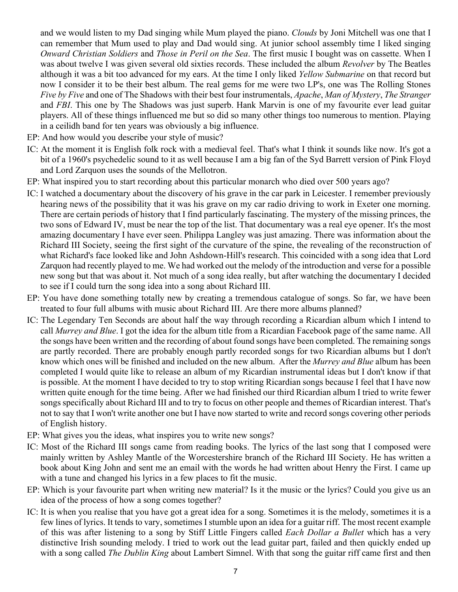and we would listen to my Dad singing while Mum played the piano. *Clouds* by Joni Mitchell was one that I can remember that Mum used to play and Dad would sing. At junior school assembly time I liked singing *Onward Christian Soldiers* and *Those in Peril on the Sea*. The first music I bought was on cassette. When I was about twelve I was given several old sixties records. These included the album *Revolver* by The Beatles although it was a bit too advanced for my ears. At the time I only liked *Yellow Submarine* on that record but now I consider it to be their best album. The real gems for me were two LP's, one was The Rolling Stones *Five by Five* and one of The Shadows with their best four instrumentals, *Apache*, *Man of Mystery*, *The Stranger* and *FBI*. This one by The Shadows was just superb. Hank Marvin is one of my favourite ever lead guitar players. All of these things influenced me but so did so many other things too numerous to mention. Playing in a ceilidh band for ten years was obviously a big influence.

- EP: And how would you describe your style of music?
- IC: At the moment it is English folk rock with a medieval feel. That's what I think it sounds like now. It's got a bit of a 1960's psychedelic sound to it as well because I am a big fan of the Syd Barrett version of Pink Floyd and Lord Zarquon uses the sounds of the Mellotron.
- EP: What inspired you to start recording about this particular monarch who died over 500 years ago?
- IC: I watched a documentary about the discovery of his grave in the car park in Leicester. I remember previously hearing news of the possibility that it was his grave on my car radio driving to work in Exeter one morning. There are certain periods of history that I find particularly fascinating. The mystery of the missing princes, the two sons of Edward IV, must be near the top of the list. That documentary was a real eye opener. It's the most amazing documentary I have ever seen. Philippa Langley was just amazing. There was information about the Richard III Society, seeing the first sight of the curvature of the spine, the revealing of the reconstruction of what Richard's face looked like and John Ashdown-Hill's research. This coincided with a song idea that Lord Zarquon had recently played to me. We had worked out the melody of the introduction and verse for a possible new song but that was about it. Not much of a song idea really, but after watching the documentary I decided to see if I could turn the song idea into a song about Richard III.
- EP: You have done something totally new by creating a tremendous catalogue of songs. So far, we have been treated to four full albums with music about Richard III. Are there more albums planned?
- IC: The Legendary Ten Seconds are about half the way through recording a Ricardian album which I intend to call *Murrey and Blue*. I got the idea for the album title from a Ricardian Facebook page of the same name. All the songs have been written and the recording of about found songs have been completed. The remaining songs are partly recorded. There are probably enough partly recorded songs for two Ricardian albums but I don't know which ones will be finished and included on the new album. After the *Murrey and Blue* album has been completed I would quite like to release an album of my Ricardian instrumental ideas but I don't know if that is possible. At the moment I have decided to try to stop writing Ricardian songs because I feel that I have now written quite enough for the time being. After we had finished our third Ricardian album I tried to write fewer songs specifically about Richard III and to try to focus on other people and themes of Ricardian interest. That's not to say that I won't write another one but I have now started to write and record songs covering other periods of English history.
- EP: What gives you the ideas, what inspires you to write new songs?
- IC: Most of the Richard III songs came from reading books. The lyrics of the last song that I composed were mainly written by Ashley Mantle of the Worcestershire branch of the Richard III Society. He has written a book about King John and sent me an email with the words he had written about Henry the First. I came up with a tune and changed his lyrics in a few places to fit the music.
- EP: Which is your favourite part when writing new material? Is it the music or the lyrics? Could you give us an idea of the process of how a song comes together?
- IC: It is when you realise that you have got a great idea for a song. Sometimes it is the melody, sometimes it is a few lines of lyrics. It tends to vary, sometimes I stumble upon an idea for a guitar riff. The most recent example of this was after listening to a song by Stiff Little Fingers called *Each Dollar a Bullet* which has a very distinctive Irish sounding melody. I tried to work out the lead guitar part, failed and then quickly ended up with a song called *The Dublin King* about Lambert Simnel. With that song the guitar riff came first and then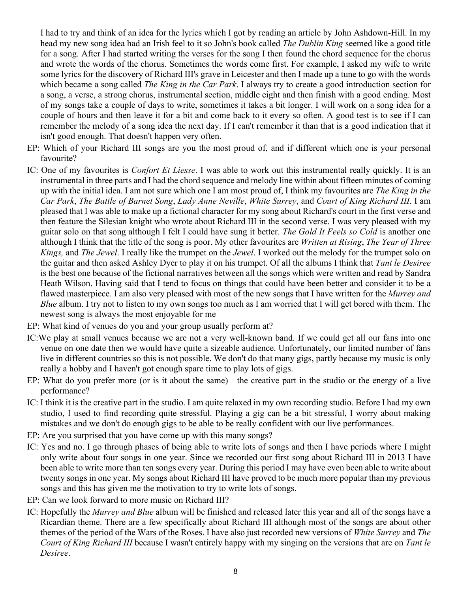I had to try and think of an idea for the lyrics which I got by reading an article by John Ashdown-Hill. In my head my new song idea had an Irish feel to it so John's book called *The Dublin King* seemed like a good title for a song. After I had started writing the verses for the song I then found the chord sequence for the chorus and wrote the words of the chorus. Sometimes the words come first. For example, I asked my wife to write some lyrics for the discovery of Richard III's grave in Leicester and then I made up a tune to go with the words which became a song called *The King in the Car Park*. I always try to create a good introduction section for a song, a verse, a strong chorus, instrumental section, middle eight and then finish with a good ending. Most of my songs take a couple of days to write, sometimes it takes a bit longer. I will work on a song idea for a couple of hours and then leave it for a bit and come back to it every so often. A good test is to see if I can remember the melody of a song idea the next day. If I can't remember it than that is a good indication that it isn't good enough. That doesn't happen very often.

- EP: Which of your Richard III songs are you the most proud of, and if different which one is your personal favourite?
- IC: One of my favourites is *Confort Et Liesse*. I was able to work out this instrumental really quickly. It is an instrumental in three parts and I had the chord sequence and melody line within about fifteen minutes of coming up with the initial idea. I am not sure which one I am most proud of, I think my favourites are *The King in the Car Park*, *The Battle of Barnet Song*, *Lady Anne Neville*, *White Surrey*, and *Court of King Richard III*. I am pleased that I was able to make up a fictional character for my song about Richard's court in the first verse and then feature the Silesian knight who wrote about Richard III in the second verse. I was very pleased with my guitar solo on that song although I felt I could have sung it better. *The Gold It Feels so Cold* is another one although I think that the title of the song is poor. My other favourites are *Written at Rising*, *The Year of Three Kings,* and *The Jewel*. I really like the trumpet on the *Jewel*. I worked out the melody for the trumpet solo on the guitar and then asked Ashley Dyer to play it on his trumpet. Of all the albums I think that *Tant le Desiree* is the best one because of the fictional narratives between all the songs which were written and read by Sandra Heath Wilson. Having said that I tend to focus on things that could have been better and consider it to be a flawed masterpiece. I am also very pleased with most of the new songs that I have written for the *Murrey and Blue* album. I try not to listen to my own songs too much as I am worried that I will get bored with them. The newest song is always the most enjoyable for me
- EP: What kind of venues do you and your group usually perform at?
- IC:We play at small venues because we are not a very well-known band. If we could get all our fans into one venue on one date then we would have quite a sizeable audience. Unfortunately, our limited number of fans live in different countries so this is not possible. We don't do that many gigs, partly because my music is only really a hobby and I haven't got enough spare time to play lots of gigs.
- EP: What do you prefer more (or is it about the same)—the creative part in the studio or the energy of a live performance?
- IC: I think it is the creative part in the studio. I am quite relaxed in my own recording studio. Before I had my own studio, I used to find recording quite stressful. Playing a gig can be a bit stressful, I worry about making mistakes and we don't do enough gigs to be able to be really confident with our live performances.
- EP: Are you surprised that you have come up with this many songs?
- IC: Yes and no. I go through phases of being able to write lots of songs and then I have periods where I might only write about four songs in one year. Since we recorded our first song about Richard III in 2013 I have been able to write more than ten songs every year. During this period I may have even been able to write about twenty songs in one year. My songs about Richard III have proved to be much more popular than my previous songs and this has given me the motivation to try to write lots of songs.
- EP: Can we look forward to more music on Richard III?
- IC: Hopefully the *Murrey and Blue* album will be finished and released later this year and all of the songs have a Ricardian theme. There are a few specifically about Richard III although most of the songs are about other themes of the period of the Wars of the Roses. I have also just recorded new versions of *White Surrey* and *The Court of King Richard III* because I wasn't entirely happy with my singing on the versions that are on *Tant le Desiree*.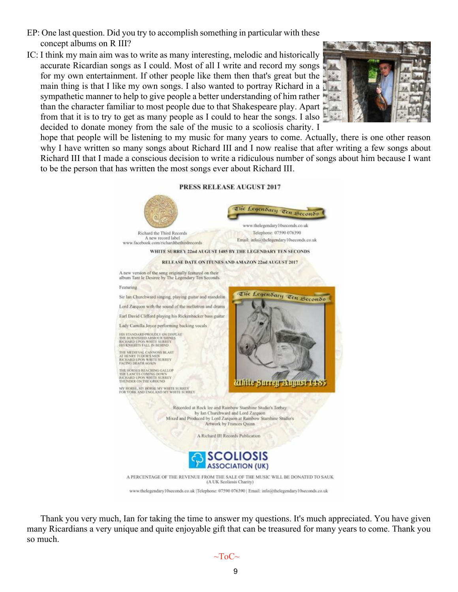- EP: One last question. Did you try to accomplish something in particular with these concept albums on R III?
- IC: I think my main aim was to write as many interesting, melodic and historically accurate Ricardian songs as I could. Most of all I write and record my songs for my own entertainment. If other people like them then that's great but the main thing is that I like my own songs. I also wanted to portray Richard in a sympathetic manner to help to give people a better understanding of him rather than the character familiar to most people due to that Shakespeare play. Apart from that it is to try to get as many people as I could to hear the songs. I also decided to donate money from the sale of the music to a scoliosis charity. I



hope that people will be listening to my music for many years to come. Actually, there is one other reason why I have written so many songs about Richard III and I now realise that after writing a few songs about Richard III that I made a conscious decision to write a ridiculous number of songs about him because I want to be the person that has written the most songs ever about Richard III.

#### PRESS RELEASE AUGUST 2017



Thank you very much, Ian for taking the time to answer my questions. It's much appreciated. You have given many Ricardians a very unique and quite enjoyable gift that can be treasured for many years to come. Thank you so much.

 $\sim$ ToC $\sim$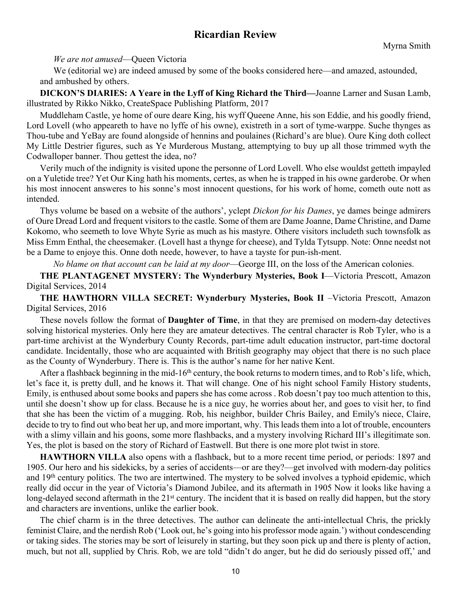## **Ricardian Review**

<span id="page-9-0"></span>*We are not amused*—Queen Victoria

We (editorial we) are indeed amused by some of the books considered here—and amazed, astounded, and ambushed by others.

**DICKON'S DIARIES: A Yeare in the Lyff of King Richard the Third—**Joanne Larner and Susan Lamb, illustrated by Rikko Nikko, CreateSpace Publishing Platform, 2017

Muddleham Castle, ye home of oure deare King, his wyff Queene Anne, his son Eddie, and his goodly friend, Lord Lovell (who appeareth to have no lyffe of his owne), existreth in a sort of tyme-warppe. Suche thynges as Thou-tube and YeBay are found alongside of hennins and poulaines (Richard's are blue). Oure King doth collect My Little Destrier figures, such as Ye Murderous Mustang, attemptying to buy up all those trimmed wyth the Codwalloper banner. Thou gettest the idea, no?

Verily much of the indignity is visited upone the personne of Lord Lovell. Who else wouldst getteth impayled on a Yuletide tree? Yet Our King hath his moments, certes, as when he is trapped in his owne garderobe. Or when his most innocent answeres to his sonne's most innocent questions, for his work of home, cometh oute nott as intended.

Thys volume be based on a website of the authors', yclept *Dickon for his Dames*, ye dames beinge admirers of Oure Dread Lord and frequent visitors to the castle. Some of them are Dame Joanne, Dame Christine, and Dame Kokomo, who seemeth to love Whyte Syrie as much as his mastyre. Othere visitors includeth such townsfolk as Miss Emm Enthal, the cheesemaker. (Lovell hast a thynge for cheese), and Tylda Tytsupp. Note: Onne needst not be a Dame to enjoye this. Onne doth neede, however, to have a tayste for pun-ish-ment.

*No blame on that account can be laid at my door*—George III, on the loss of the American colonies.

**THE PLANTAGENET MYSTERY: The Wynderbury Mysteries, Book I**—Victoria Prescott, Amazon Digital Services, 2014

**THE HAWTHORN VILLA SECRET: Wynderbury Mysteries, Book II** –Victoria Prescott, Amazon Digital Services, 2016

These novels follow the format of **Daughter of Time**, in that they are premised on modern-day detectives solving historical mysteries. Only here they are amateur detectives. The central character is Rob Tyler, who is a part-time archivist at the Wynderbury County Records, part-time adult education instructor, part-time doctoral candidate. Incidentally, those who are acquainted with British geography may object that there is no such place as the County of Wynderbury. There is. This is the author's name for her native Kent.

After a flashback beginning in the mid-16<sup>th</sup> century, the book returns to modern times, and to Rob's life, which, let's face it, is pretty dull, and he knows it. That will change. One of his night school Family History students, Emily, is enthused about some books and papers she has come across . Rob doesn't pay too much attention to this, until she doesn't show up for class. Because he is a nice guy, he worries about her, and goes to visit her, to find that she has been the victim of a mugging. Rob, his neighbor, builder Chris Bailey, and Emily's niece, Claire, decide to try to find out who beat her up, and more important, why. This leads them into a lot of trouble, encounters with a slimy villain and his goons, some more flashbacks, and a mystery involving Richard III's illegitimate son. Yes, the plot is based on the story of Richard of Eastwell. But there is one more plot twist in store.

**HAWTHORN VILLA** also opens with a flashback, but to a more recent time period, or periods: 1897 and 1905. Our hero and his sidekicks, by a series of accidents—or are they?—get involved with modern-day politics and 19th century politics. The two are intertwined. The mystery to be solved involves a typhoid epidemic, which really did occur in the year of Victoria's Diamond Jubilee, and its aftermath in 1905 Now it looks like having a long-delayed second aftermath in the 21<sup>st</sup> century. The incident that it is based on really did happen, but the story and characters are inventions, unlike the earlier book.

The chief charm is in the three detectives. The author can delineate the anti-intellectual Chris, the prickly feminist Claire, and the nerdish Rob ('Look out, he's going into his professor mode again.') without condescending or taking sides. The stories may be sort of leisurely in starting, but they soon pick up and there is plenty of action, much, but not all, supplied by Chris. Rob, we are told "didn't do anger, but he did do seriously pissed off,' and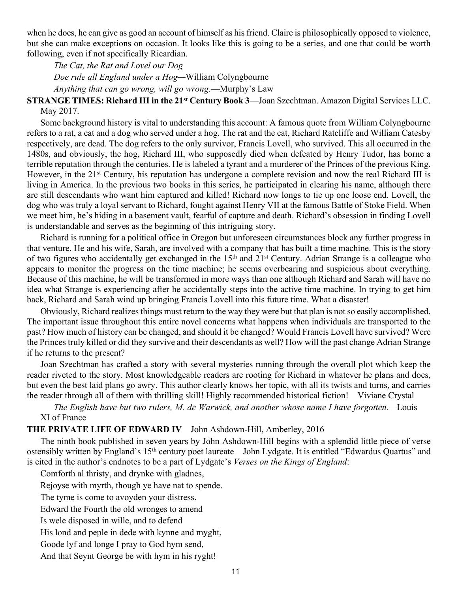when he does, he can give as good an account of himself as his friend. Claire is philosophically opposed to violence, but she can make exceptions on occasion. It looks like this is going to be a series, and one that could be worth following, even if not specifically Ricardian.

*The Cat, the Rat and Lovel our Dog Doe rule all England under a Hog—*William Colyngbourne *Anything that can go wrong, will go wrong*.—Murphy's Law

**STRANGE TIMES: Richard III in the 21st Century Book 3**—Joan Szechtman. Amazon Digital Services LLC. May 2017.

Some background history is vital to understanding this account: A famous quote from William Colyngbourne refers to a rat, a cat and a dog who served under a hog. The rat and the cat, Richard Ratcliffe and William Catesby respectively, are dead. The dog refers to the only survivor, Francis Lovell, who survived. This all occurred in the 1480s, and obviously, the hog, Richard III, who supposedly died when defeated by Henry Tudor, has borne a terrible reputation through the centuries. He is labeled a tyrant and a murderer of the Princes of the previous King. However, in the 21<sup>st</sup> Century, his reputation has undergone a complete revision and now the real Richard III is living in America. In the previous two books in this series, he participated in clearing his name, although there are still descendants who want him captured and killed! Richard now longs to tie up one loose end. Lovell, the dog who was truly a loyal servant to Richard, fought against Henry VII at the famous Battle of Stoke Field. When we meet him, he's hiding in a basement vault, fearful of capture and death. Richard's obsession in finding Lovell is understandable and serves as the beginning of this intriguing story.

Richard is running for a political office in Oregon but unforeseen circumstances block any further progress in that venture. He and his wife, Sarah, are involved with a company that has built a time machine. This is the story of two figures who accidentally get exchanged in the 15th and 21st Century. Adrian Strange is a colleague who appears to monitor the progress on the time machine; he seems overbearing and suspicious about everything. Because of this machine, he will be transformed in more ways than one although Richard and Sarah will have no idea what Strange is experiencing after he accidentally steps into the active time machine. In trying to get him back, Richard and Sarah wind up bringing Francis Lovell into this future time. What a disaster!

Obviously, Richard realizes things must return to the way they were but that plan is not so easily accomplished. The important issue throughout this entire novel concerns what happens when individuals are transported to the past? How much of history can be changed, and should it be changed? Would Francis Lovell have survived? Were the Princes truly killed or did they survive and their descendants as well? How will the past change Adrian Strange if he returns to the present?

Joan Szechtman has crafted a story with several mysteries running through the overall plot which keep the reader riveted to the story. Most knowledgeable readers are rooting for Richard in whatever he plans and does, but even the best laid plans go awry. This author clearly knows her topic, with all its twists and turns, and carries the reader through all of them with thrilling skill! Highly recommended historical fiction!—Viviane Crystal

*The English have but two rulers, M. de Warwick, and another whose name I have forgotten.—*Louis XI of France

**THE PRIVATE LIFE OF EDWARD IV**—John Ashdown-Hill, Amberley, 2016

The ninth book published in seven years by John Ashdown-Hill begins with a splendid little piece of verse ostensibly written by England's 15th century poet laureate—John Lydgate. It is entitled "Edwardus Quartus" and is cited in the author's endnotes to be a part of Lydgate's *Verses on the Kings of England*:

Comforth al thristy, and drynke with gladnes,

Rejoyse with myrth, though ye have nat to spende.

The tyme is come to avoyden your distress.

Edward the Fourth the old wronges to amend

Is wele disposed in wille, and to defend

His lond and peple in dede with kynne and myght,

Goode lyf and longe I pray to God hym send,

And that Seynt George be with hym in his ryght!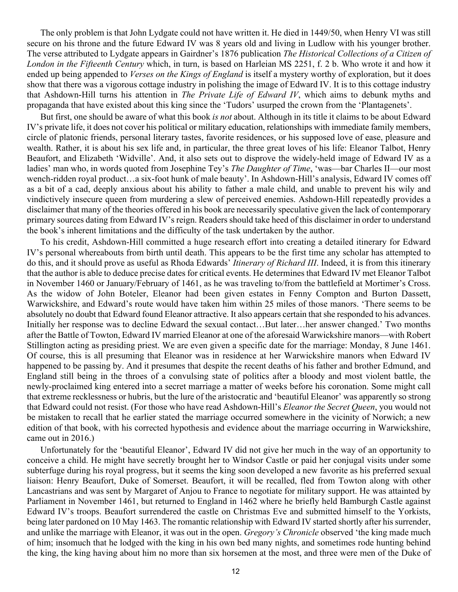The only problem is that John Lydgate could not have written it. He died in 1449/50, when Henry VI was still secure on his throne and the future Edward IV was 8 years old and living in Ludlow with his younger brother. The verse attributed to Lydgate appears in Gairdner's 1876 publication *The Historical Collections of a Citizen of London in the Fifteenth Century* which, in turn, is based on Harleian MS 2251, f. 2 b. Who wrote it and how it ended up being appended to *Verses on the Kings of England* is itself a mystery worthy of exploration, but it does show that there was a vigorous cottage industry in polishing the image of Edward IV. It is to this cottage industry that Ashdown-Hill turns his attention in *The Private Life of Edward IV*, which aims to debunk myths and propaganda that have existed about this king since the 'Tudors' usurped the crown from the 'Plantagenets'.

But first, one should be aware of what this book *is not* about. Although in its title it claims to be about Edward IV's private life, it does not cover his political or military education, relationships with immediate family members, circle of platonic friends, personal literary tastes, favorite residences, or his supposed love of ease, pleasure and wealth. Rather, it is about his sex life and, in particular, the three great loves of his life: Eleanor Talbot, Henry Beaufort, and Elizabeth 'Widville'. And, it also sets out to disprove the widely-held image of Edward IV as a ladies' man who, in words quoted from Josephine Tey's *The Daughter of Time*, 'was—bar Charles II—our most wench-ridden royal product…a six-foot hunk of male beauty'. In Ashdown-Hill's analysis, Edward IV comes off as a bit of a cad, deeply anxious about his ability to father a male child, and unable to prevent his wily and vindictively insecure queen from murdering a slew of perceived enemies. Ashdown-Hill repeatedly provides a disclaimer that many of the theories offered in his book are necessarily speculative given the lack of contemporary primary sources dating from Edward IV's reign. Readers should take heed of this disclaimer in order to understand the book's inherent limitations and the difficulty of the task undertaken by the author.

To his credit, Ashdown-Hill committed a huge research effort into creating a detailed itinerary for Edward IV's personal whereabouts from birth until death. This appears to be the first time any scholar has attempted to do this, and it should prove as useful as Rhoda Edwards' *Itinerary of Richard III*. Indeed, it is from this itinerary that the author is able to deduce precise dates for critical events. He determines that Edward IV met Eleanor Talbot in November 1460 or January/February of 1461, as he was traveling to/from the battlefield at Mortimer's Cross. As the widow of John Boteler, Eleanor had been given estates in Fenny Compton and Burton Dassett, Warwickshire, and Edward's route would have taken him within 25 miles of those manors. 'There seems to be absolutely no doubt that Edward found Eleanor attractive. It also appears certain that she responded to his advances. Initially her response was to decline Edward the sexual contact…But later…her answer changed.' Two months after the Battle of Towton, Edward IV married Eleanor at one of the aforesaid Warwickshire manors—with Robert Stillington acting as presiding priest. We are even given a specific date for the marriage: Monday, 8 June 1461. Of course, this is all presuming that Eleanor was in residence at her Warwickshire manors when Edward IV happened to be passing by. And it presumes that despite the recent deaths of his father and brother Edmund, and England still being in the throes of a convulsing state of politics after a bloody and most violent battle, the newly-proclaimed king entered into a secret marriage a matter of weeks before his coronation. Some might call that extreme recklessness or hubris, but the lure of the aristocratic and 'beautiful Eleanor' was apparently so strong that Edward could not resist. (For those who have read Ashdown-Hill's *Eleanor the Secret Queen*, you would not be mistaken to recall that he earlier stated the marriage occurred somewhere in the vicinity of Norwich; a new edition of that book, with his corrected hypothesis and evidence about the marriage occurring in Warwickshire, came out in 2016.)

Unfortunately for the 'beautiful Eleanor', Edward IV did not give her much in the way of an opportunity to conceive a child. He might have secretly brought her to Windsor Castle or paid her conjugal visits under some subterfuge during his royal progress, but it seems the king soon developed a new favorite as his preferred sexual liaison: Henry Beaufort, Duke of Somerset. Beaufort, it will be recalled, fled from Towton along with other Lancastrians and was sent by Margaret of Anjou to France to negotiate for military support. He was attainted by Parliament in November 1461, but returned to England in 1462 where he briefly held Bamburgh Castle against Edward IV's troops. Beaufort surrendered the castle on Christmas Eve and submitted himself to the Yorkists, being later pardoned on 10 May 1463. The romantic relationship with Edward IV started shortly after his surrender, and unlike the marriage with Eleanor, it was out in the open. *Gregory's Chronicle* observed 'the king made much of him; insomuch that he lodged with the king in his own bed many nights, and sometimes rode hunting behind the king, the king having about him no more than six horsemen at the most, and three were men of the Duke of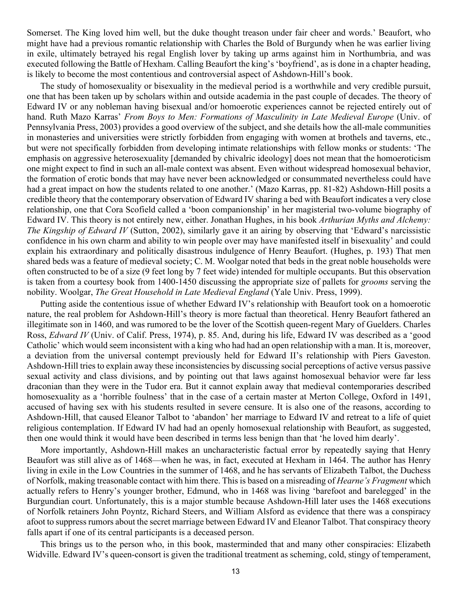Somerset. The King loved him well, but the duke thought treason under fair cheer and words.' Beaufort, who might have had a previous romantic relationship with Charles the Bold of Burgundy when he was earlier living in exile, ultimately betrayed his regal English lover by taking up arms against him in Northumbria, and was executed following the Battle of Hexham. Calling Beaufort the king's 'boyfriend', as is done in a chapter heading, is likely to become the most contentious and controversial aspect of Ashdown-Hill's book.

The study of homosexuality or bisexuality in the medieval period is a worthwhile and very credible pursuit, one that has been taken up by scholars within and outside academia in the past couple of decades. The theory of Edward IV or any nobleman having bisexual and/or homoerotic experiences cannot be rejected entirely out of hand. Ruth Mazo Karras' *From Boys to Men: Formations of Masculinity in Late Medieval Europe* (Univ. of Pennsylvania Press, 2003) provides a good overview of the subject, and she details how the all-male communities in monasteries and universities were strictly forbidden from engaging with women at brothels and taverns, etc., but were not specifically forbidden from developing intimate relationships with fellow monks or students: 'The emphasis on aggressive heterosexuality [demanded by chivalric ideology] does not mean that the homoeroticism one might expect to find in such an all-male context was absent. Even without widespread homosexual behavior, the formation of erotic bonds that may have never been acknowledged or consummated nevertheless could have had a great impact on how the students related to one another.' (Mazo Karras, pp. 81-82) Ashdown-Hill posits a credible theory that the contemporary observation of Edward IV sharing a bed with Beaufort indicates a very close relationship, one that Cora Scofield called a 'boon companionship' in her magisterial two-volume biography of Edward IV. This theory is not entirely new, either. Jonathan Hughes, in his book *Arthurian Myths and Alchemy: The Kingship of Edward IV* (Sutton, 2002), similarly gave it an airing by observing that 'Edward's narcissistic confidence in his own charm and ability to win people over may have manifested itself in bisexuality' and could explain his extraordinary and politically disastrous indulgence of Henry Beaufort. (Hughes, p. 193) That men shared beds was a feature of medieval society; C. M. Woolgar noted that beds in the great noble households were often constructed to be of a size (9 feet long by 7 feet wide) intended for multiple occupants. But this observation is taken from a courtesy book from 1400-1450 discussing the appropriate size of pallets for *grooms* serving the nobility. Woolgar, *The Great Household in Late Medieval England* (Yale Univ. Press, 1999).

Putting aside the contentious issue of whether Edward IV's relationship with Beaufort took on a homoerotic nature, the real problem for Ashdown-Hill's theory is more factual than theoretical. Henry Beaufort fathered an illegitimate son in 1460, and was rumored to be the lover of the Scottish queen-regent Mary of Guelders. Charles Ross, *Edward IV* (Univ. of Calif. Press, 1974), p. 85. And, during his life, Edward IV was described as a 'good Catholic' which would seem inconsistent with a king who had had an open relationship with a man. It is, moreover, a deviation from the universal contempt previously held for Edward II's relationship with Piers Gaveston. Ashdown-Hill tries to explain away these inconsistencies by discussing social perceptions of active versus passive sexual activity and class divisions, and by pointing out that laws against homosexual behavior were far less draconian than they were in the Tudor era. But it cannot explain away that medieval contemporaries described homosexuality as a 'horrible foulness' that in the case of a certain master at Merton College, Oxford in 1491, accused of having sex with his students resulted in severe censure. It is also one of the reasons, according to Ashdown-Hill, that caused Eleanor Talbot to 'abandon' her marriage to Edward IV and retreat to a life of quiet religious contemplation. If Edward IV had had an openly homosexual relationship with Beaufort, as suggested, then one would think it would have been described in terms less benign than that 'he loved him dearly'.

More importantly, Ashdown-Hill makes an uncharacteristic factual error by repeatedly saying that Henry Beaufort was still alive as of 1468—when he was, in fact, executed at Hexham in 1464. The author has Henry living in exile in the Low Countries in the summer of 1468, and he has servants of Elizabeth Talbot, the Duchess of Norfolk, making treasonable contact with him there. This is based on a misreading of *Hearne's Fragment* which actually refers to Henry's younger brother, Edmund, who in 1468 was living 'barefoot and barelegged' in the Burgundian court. Unfortunately, this is a major stumble because Ashdown-Hill later uses the 1468 executions of Norfolk retainers John Poyntz, Richard Steers, and William Alsford as evidence that there was a conspiracy afoot to suppress rumors about the secret marriage between Edward IV and Eleanor Talbot. That conspiracy theory falls apart if one of its central participants is a deceased person.

This brings us to the person who, in this book, masterminded that and many other conspiracies: Elizabeth Widville. Edward IV's queen-consort is given the traditional treatment as scheming, cold, stingy of temperament,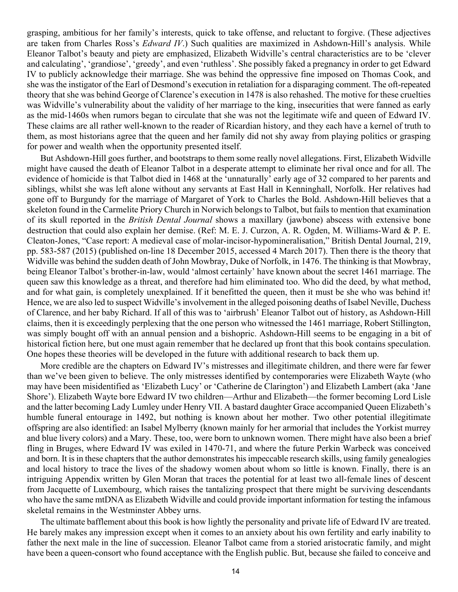grasping, ambitious for her family's interests, quick to take offense, and reluctant to forgive. (These adjectives are taken from Charles Ross's *Edward IV*.) Such qualities are maximized in Ashdown-Hill's analysis. While Eleanor Talbot's beauty and piety are emphasized, Elizabeth Widville's central characteristics are to be 'clever and calculating', 'grandiose', 'greedy', and even 'ruthless'. She possibly faked a pregnancy in order to get Edward IV to publicly acknowledge their marriage. She was behind the oppressive fine imposed on Thomas Cook, and she was the instigator of the Earl of Desmond's execution in retaliation for a disparaging comment. The oft-repeated theory that she was behind George of Clarence's execution in 1478 is also rehashed. The motive for these cruelties was Widville's vulnerability about the validity of her marriage to the king, insecurities that were fanned as early as the mid-1460s when rumors began to circulate that she was not the legitimate wife and queen of Edward IV. These claims are all rather well-known to the reader of Ricardian history, and they each have a kernel of truth to them, as most historians agree that the queen and her family did not shy away from playing politics or grasping for power and wealth when the opportunity presented itself.

But Ashdown-Hill goes further, and bootstraps to them some really novel allegations. First, Elizabeth Widville might have caused the death of Eleanor Talbot in a desperate attempt to eliminate her rival once and for all. The evidence of homicide is that Talbot died in 1468 at the 'unnaturally' early age of 32 compared to her parents and siblings, whilst she was left alone without any servants at East Hall in Kenninghall, Norfolk. Her relatives had gone off to Burgundy for the marriage of Margaret of York to Charles the Bold. Ashdown-Hill believes that a skeleton found in the Carmelite Priory Church in Norwich belongs to Talbot, but fails to mention that examination of its skull reported in the *British Dental Journal* shows a maxillary (jawbone) abscess with extensive bone destruction that could also explain her demise. (Ref: M. E. J. Curzon, A. R. Ogden, M. Williams-Ward & P. E. Cleaton-Jones, "Case report: A medieval case of molar-incisor-hypomineralisation," British Dental Journal, 219, pp. 583-587 (2015) (published on-line 18 December 2015, accessed 4 March 2017). Then there is the theory that Widville was behind the sudden death of John Mowbray, Duke of Norfolk, in 1476. The thinking is that Mowbray, being Eleanor Talbot's brother-in-law, would 'almost certainly' have known about the secret 1461 marriage. The queen saw this knowledge as a threat, and therefore had him eliminated too. Who did the deed, by what method, and for what gain, is completely unexplained. If it benefitted the queen, then it must be she who was behind it! Hence, we are also led to suspect Widville's involvement in the alleged poisoning deaths of Isabel Neville, Duchess of Clarence, and her baby Richard. If all of this was to 'airbrush' Eleanor Talbot out of history, as Ashdown-Hill claims, then it is exceedingly perplexing that the one person who witnessed the 1461 marriage, Robert Stillington, was simply bought off with an annual pension and a bishopric. Ashdown-Hill seems to be engaging in a bit of historical fiction here, but one must again remember that he declared up front that this book contains speculation. One hopes these theories will be developed in the future with additional research to back them up.

More credible are the chapters on Edward IV's mistresses and illegitimate children, and there were far fewer than we've been given to believe. The only mistresses identified by contemporaries were Elizabeth Wayte (who may have been misidentified as 'Elizabeth Lucy' or 'Catherine de Clarington') and Elizabeth Lambert (aka 'Jane Shore'). Elizabeth Wayte bore Edward IV two children—Arthur and Elizabeth—the former becoming Lord Lisle and the latter becoming Lady Lumley under Henry VII. A bastard daughter Grace accompanied Queen Elizabeth's humble funeral entourage in 1492, but nothing is known about her mother. Two other potential illegitimate offspring are also identified: an Isabel Mylberry (known mainly for her armorial that includes the Yorkist murrey and blue livery colors) and a Mary. These, too, were born to unknown women. There might have also been a brief fling in Bruges, where Edward IV was exiled in 1470-71, and where the future Perkin Warbeck was conceived and born. It is in these chapters that the author demonstrates his impeccable research skills, using family genealogies and local history to trace the lives of the shadowy women about whom so little is known. Finally, there is an intriguing Appendix written by Glen Moran that traces the potential for at least two all-female lines of descent from Jacquette of Luxembourg, which raises the tantalizing prospect that there might be surviving descendants who have the same mtDNA as Elizabeth Widville and could provide important information for testing the infamous skeletal remains in the Westminster Abbey urns.

The ultimate bafflement about this book is how lightly the personality and private life of Edward IV are treated. He barely makes any impression except when it comes to an anxiety about his own fertility and early inability to father the next male in the line of succession. Eleanor Talbot came from a storied aristocratic family, and might have been a queen-consort who found acceptance with the English public. But, because she failed to conceive and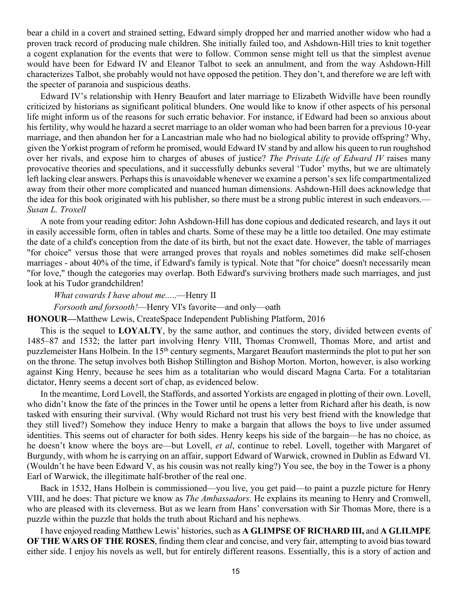bear a child in a covert and strained setting, Edward simply dropped her and married another widow who had a proven track record of producing male children. She initially failed too, and Ashdown-Hill tries to knit together a cogent explanation for the events that were to follow. Common sense might tell us that the simplest avenue would have been for Edward IV and Eleanor Talbot to seek an annulment, and from the way Ashdown-Hill characterizes Talbot, she probably would not have opposed the petition. They don't, and therefore we are left with the specter of paranoia and suspicious deaths.

Edward IV's relationship with Henry Beaufort and later marriage to Elizabeth Widville have been roundly criticized by historians as significant political blunders. One would like to know if other aspects of his personal life might inform us of the reasons for such erratic behavior. For instance, if Edward had been so anxious about his fertility, why would he hazard a secret marriage to an older woman who had been barren for a previous 10-year marriage, and then abandon her for a Lancastrian male who had no biological ability to provide offspring? Why, given the Yorkist program of reform he promised, would Edward IV stand by and allow his queen to run roughshod over her rivals, and expose him to charges of abuses of justice? *The Private Life of Edward IV* raises many provocative theories and speculations, and it successfully debunks several 'Tudor' myths, but we are ultimately left lacking clear answers. Perhaps this is unavoidable whenever we examine a person's sex life compartmentalized away from their other more complicated and nuanced human dimensions. Ashdown-Hill does acknowledge that the idea for this book originated with his publisher, so there must be a strong public interest in such endeavors.— *Susan L. Troxell*

A note from your reading editor: John Ashdown-Hill has done copious and dedicated research, and lays it out in easily accessible form, often in tables and charts. Some of these may be a little too detailed. One may estimate the date of a child's conception from the date of its birth, but not the exact date. However, the table of marriages "for choice" versus those that were arranged proves that royals and nobles sometimes did make self-chosen marriages - about 40% of the time, if Edward's family is typical. Note that "for choice" doesn't necessarily mean "for love," though the categories may overlap. Both Edward's surviving brothers made such marriages, and just look at his Tudor grandchildren!

#### *What cowards I have about me...*..—Henry II

#### *Forsooth and forsooth!*—Henry VI's favorite—and only—oath

#### **HONOUR—**Matthew Lewis, CreateSpace Independent Publishing Platform, 2016

This is the sequel to **LOYALTY**, by the same author, and continues the story, divided between events of 1485–87 and 1532; the latter part involving Henry VIII, Thomas Cromwell, Thomas More, and artist and puzzlemeister Hans Holbein. In the 15th century segments, Margaret Beaufort masterminds the plot to put her son on the throne. The setup involves both Bishop Stillington and Bishop Morton. Morton, however, is also working against King Henry, because he sees him as a totalitarian who would discard Magna Carta. For a totalitarian dictator, Henry seems a decent sort of chap, as evidenced below.

In the meantime, Lord Lovell, the Staffords, and assorted Yorkists are engaged in plotting of their own. Lovell, who didn't know the fate of the princes in the Tower until he opens a letter from Richard after his death, is now tasked with ensuring their survival. (Why would Richard not trust his very best friend with the knowledge that they still lived?) Somehow they induce Henry to make a bargain that allows the boys to live under assumed identities. This seems out of character for both sides. Henry keeps his side of the bargain—he has no choice, as he doesn't know where the boys are—but Lovell, *et al*, continue to rebel. Lovell, together with Margaret of Burgundy, with whom he is carrying on an affair, support Edward of Warwick, crowned in Dublin as Edward VI. (Wouldn't he have been Edward V, as his cousin was not really king?) You see, the boy in the Tower is a phony Earl of Warwick, the illegitimate half-brother of the real one.

Back in 1532, Hans Holbein is commissioned—you live, you get paid—to paint a puzzle picture for Henry VIII, and he does: That picture we know as *The Ambassadors*. He explains its meaning to Henry and Cromwell, who are pleased with its cleverness. But as we learn from Hans' conversation with Sir Thomas More, there is a puzzle within the puzzle that holds the truth about Richard and his nephews.

I have enjoyed reading Matthew Lewis' histories, such as **A GLIMPSE OF RICHARD III,** and **A GLILMPE OF THE WARS OF THE ROSES**, finding them clear and concise, and very fair, attempting to avoid bias toward either side. I enjoy his novels as well, but for entirely different reasons. Essentially, this is a story of action and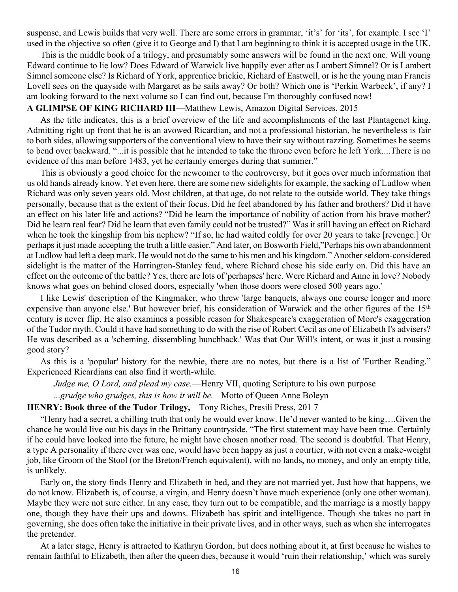suspense, and Lewis builds that very well. There are some errors in grammar, 'it's' for 'its', for example. I see 'I' used in the objective so often (give it to George and I) that I am beginning to think it is accepted usage in the UK.

This is the middle book of a trilogy, and presumably some answers will be found in the next one. Will young Edward continue to lie low? Does Edward of Warwick live happily ever after as Lambert Simnel? Or is Lambert Simnel someone else? Is Richard of York, apprentice brickie, Richard of Eastwell, or is he the young man Francis Lovell sees on the quayside with Margaret as he sails away? Or both? Which one is 'Perkin Warbeck', if any? I am looking forward to the next volume so I can find out, because I'm thoroughly confused now!

#### **A GLIMPSE OF KING RICHARD III—**Matthew Lewis, Amazon Digital Services, 2015

As the title indicates, this is a brief overview of the life and accomplishments of the last Plantagenet king. Admitting right up front that he is an avowed Ricardian, and not a professional historian, he nevertheless is fair to both sides, allowing supporters of the conventional view to have their say without razzing. Sometimes he seems to bend over backward. "...it is possible that he intended to take the throne even before he left York....There is no evidence of this man before 1483, yet he certainly emerges during that summer."

This is obviously a good choice for the newcomer to the controversy, but it goes over much information that us old hands already know. Yet even here, there are some new sidelights for example, the sacking of Ludlow when Richard was only seven years old. Most children, at that age, do not relate to the outside world. They take things personally, because that is the extent of their focus. Did he feel abandoned by his father and brothers? Did it have an effect on his later life and actions? "Did he learn the importance of nobility of action from his brave mother? Did he learn real fear? Did he learn that even family could not be trusted?" Was it still having an effect on Richard when he took the kingship from his nephew? "If so, he had waited coldly for over 20 years to take [revenge.] Or perhaps it just made accepting the truth a little easier." And later, on Bosworth Field,"Perhaps his own abandonment at Ludlow had left a deep mark. He would not do the same to his men and his kingdom." Another seldom-considered sidelight is the matter of the Harrington-Stanley feud, where Richard chose his side early on. Did this have an effect on the outcome of the battle? Yes, there are lots of 'perhapses' here. Were Richard and Anne in love? Nobody knows what goes on behind closed doors, especially 'when those doors were closed 500 years ago.'

I like Lewis' description of the Kingmaker, who threw 'large banquets, always one course longer and more expensive than anyone else.' But however brief, his consideration of Warwick and the other figures of the 15<sup>th</sup> century is never flip. He also examines a possible reason for Shakespeare's exaggeration of More's exaggeration of the Tudor myth. Could it have had something to do with the rise of Robert Cecil as one of Elizabeth I's advisers? He was described as a 'scheming, dissembling hunchback.' Was that Our Will's intent, or was it just a rousing good story?

As this is a 'popular' history for the newbie, there are no notes, but there is a list of 'Further Reading." Experienced Ricardians can also find it worth-while.

*Judge me, O Lord, and plead my case.*—Henry VII, quoting Scripture to his own purpose .*..grudge who grudges, this is how it will be.—*Motto of Queen Anne Boleyn

#### **HENRY: Book three of the Tudor Trilogy,**—Tony Riches, Presili Press, 201 7

"Henry had a secret, a chilling truth that only he would ever know. He'd never wanted to be king….Given the chance he would live out his days in the Brittany countryside. "The first statement may have been true. Certainly if he could have looked into the future, he might have chosen another road. The second is doubtful. That Henry, a type A personality if there ever was one, would have been happy as just a courtier, with not even a make-weight job, like Groom of the Stool (or the Breton/French equivalent), with no lands, no money, and only an empty title, is unlikely.

Early on, the story finds Henry and Elizabeth in bed, and they are not married yet. Just how that happens, we do not know. Elizabeth is, of course, a virgin, and Henry doesn't have much experience (only one other woman). Maybe they were not sure either. In any case, they turn out to be compatible, and the marriage is a mostly happy one, though they have their ups and downs. Elizabeth has spirit and intelligence. Though she takes no part in governing, she does often take the initiative in their private lives, and in other ways, such as when she interrogates the pretender.

At a later stage, Henry is attracted to Kathryn Gordon, but does nothing about it, at first because he wishes to remain faithful to Elizabeth, then after the queen dies, because it would 'ruin their relationship,' which was surely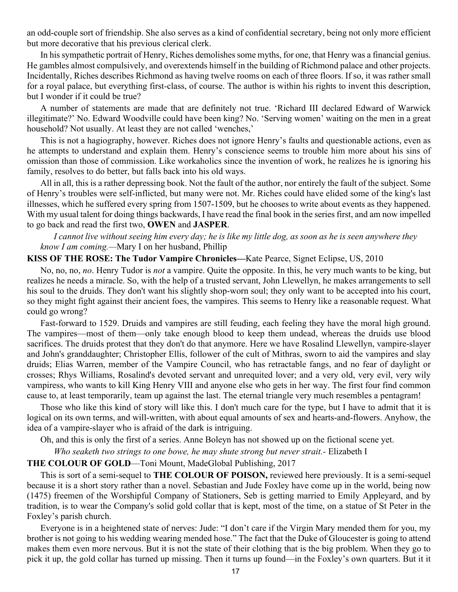an odd-couple sort of friendship. She also serves as a kind of confidential secretary, being not only more efficient but more decorative that his previous clerical clerk.

In his sympathetic portrait of Henry, Riches demolishes some myths, for one, that Henry was a financial genius. He gambles almost compulsively, and overextends himself in the building of Richmond palace and other projects. Incidentally, Riches describes Richmond as having twelve rooms on each of three floors. If so, it was rather small for a royal palace, but everything first-class, of course. The author is within his rights to invent this description, but I wonder if it could be true?

A number of statements are made that are definitely not true. 'Richard III declared Edward of Warwick illegitimate?' No. Edward Woodville could have been king? No. 'Serving women' waiting on the men in a great household? Not usually. At least they are not called 'wenches,'

This is not a hagiography, however. Riches does not ignore Henry's faults and questionable actions, even as he attempts to understand and explain them. Henry's conscience seems to trouble him more about his sins of omission than those of commission. Like workaholics since the invention of work, he realizes he is ignoring his family, resolves to do better, but falls back into his old ways.

All in all, this is a rather depressing book. Not the fault of the author, nor entirely the fault of the subject. Some of Henry's troubles were self-inflicted, but many were not. Mr. Riches could have elided some of the king's last illnesses, which he suffered every spring from 1507-1509, but he chooses to write about events as they happened. With my usual talent for doing things backwards, I have read the final book in the series first, and am now impelled to go back and read the first two, **OWEN** and **JASPER**.

*I cannot live without seeing him every day; he is like my little dog, as soon as he is seen anywhere they know I am coming.—*Mary I on her husband, Phillip

#### **KISS OF THE ROSE: The Tudor Vampire Chronicles—**Kate Pearce, Signet Eclipse, US, 2010

No, no, no, *no*. Henry Tudor is *not* a vampire. Quite the opposite. In this, he very much wants to be king, but realizes he needs a miracle. So, with the help of a trusted servant, John Llewellyn, he makes arrangements to sell his soul to the druids. They don't want his slightly shop-worn soul; they only want to be accepted into his court, so they might fight against their ancient foes, the vampires. This seems to Henry like a reasonable request. What could go wrong?

Fast-forward to 1529. Druids and vampires are still feuding, each feeling they have the moral high ground. The vampires—most of them—only take enough blood to keep them undead, whereas the druids use blood sacrifices. The druids protest that they don't do that anymore. Here we have Rosalind Llewellyn, vampire-slayer and John's granddaughter; Christopher Ellis, follower of the cult of Mithras, sworn to aid the vampires and slay druids; Elias Warren, member of the Vampire Council, who has retractable fangs, and no fear of daylight or crosses; Rhys Williams, Rosalind's devoted servant and unrequited lover; and a very old, very evil, very wily vampiress, who wants to kill King Henry VIII and anyone else who gets in her way. The first four find common cause to, at least temporarily, team up against the last. The eternal triangle very much resembles a pentagram!

Those who like this kind of story will like this. I don't much care for the type, but I have to admit that it is logical on its own terms, and will-written, with about equal amounts of sex and hearts-and-flowers. Anyhow, the idea of a vampire-slayer who is afraid of the dark is intriguing.

Oh, and this is only the first of a series. Anne Boleyn has not showed up on the fictional scene yet.

*Who seaketh two strings to one bowe, he may shute strong but never strait.-* Elizabeth I

#### **THE COLOUR OF GOLD**—Toni Mount, MadeGlobal Publishing, 2017

This is sort of a semi-sequel to **THE COLOUR OF POISON,** reviewed here previously. It is a semi-sequel because it is a short story rather than a novel. Sebastian and Jude Foxley have come up in the world, being now (1475) freemen of the Worshipful Company of Stationers, Seb is getting married to Emily Appleyard, and by tradition, is to wear the Company's solid gold collar that is kept, most of the time, on a statue of St Peter in the Foxley's parish church.

Everyone is in a heightened state of nerves: Jude: "I don't care if the Virgin Mary mended them for you, my brother is not going to his wedding wearing mended hose." The fact that the Duke of Gloucester is going to attend makes them even more nervous. But it is not the state of their clothing that is the big problem. When they go to pick it up, the gold collar has turned up missing. Then it turns up found—in the Foxley's own quarters. But it it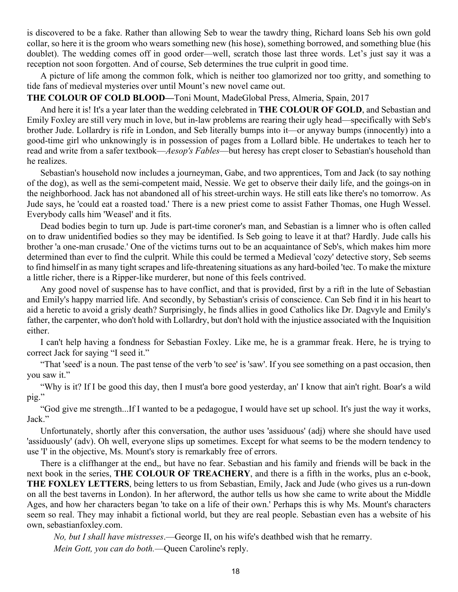is discovered to be a fake. Rather than allowing Seb to wear the tawdry thing, Richard loans Seb his own gold collar, so here it is the groom who wears something new (his hose), something borrowed, and something blue (his doublet). The wedding comes off in good order—well, scratch those last three words. Let's just say it was a reception not soon forgotten. And of course, Seb determines the true culprit in good time.

A picture of life among the common folk, which is neither too glamorized nor too gritty, and something to tide fans of medieval mysteries over until Mount's new novel came out.

#### **THE COLOUR OF COLD BLOOD—**Toni Mount, MadeGlobal Press, Almeria, Spain, 2017

And here it is! It's a year later than the wedding celebrated in **THE COLOUR OF GOLD**, and Sebastian and Emily Foxley are still very much in love, but in-law problems are rearing their ugly head—specifically with Seb's brother Jude. Lollardry is rife in London, and Seb literally bumps into it—or anyway bumps (innocently) into a good-time girl who unknowingly is in possession of pages from a Lollard bible. He undertakes to teach her to read and write from a safer textbook—*Aesop's Fables*—but heresy has crept closer to Sebastian's household than he realizes.

Sebastian's household now includes a journeyman, Gabe, and two apprentices, Tom and Jack (to say nothing of the dog), as well as the semi-competent maid, Nessie. We get to observe their daily life, and the goings-on in the neighborhood. Jack has not abandoned all of his street-urchin ways. He still eats like there's no tomorrow. As Jude says, he 'could eat a roasted toad.' There is a new priest come to assist Father Thomas, one Hugh Wessel. Everybody calls him 'Weasel' and it fits.

Dead bodies begin to turn up. Jude is part-time coroner's man, and Sebastian is a limner who is often called on to draw unidentified bodies so they may be identified. Is Seb going to leave it at that? Hardly. Jude calls his brother 'a one-man crusade.' One of the victims turns out to be an acquaintance of Seb's, which makes him more determined than ever to find the culprit. While this could be termed a Medieval 'cozy' detective story, Seb seems to find himself in as many tight scrapes and life-threatening situations as any hard-boiled 'tec. To make the mixture a little richer, there is a Ripper-like murderer, but none of this feels contrived.

Any good novel of suspense has to have conflict, and that is provided, first by a rift in the lute of Sebastian and Emily's happy married life. And secondly, by Sebastian's crisis of conscience. Can Seb find it in his heart to aid a heretic to avoid a grisly death? Surprisingly, he finds allies in good Catholics like Dr. Dagvyle and Emily's father, the carpenter, who don't hold with Lollardry, but don't hold with the injustice associated with the Inquisition either.

I can't help having a fondness for Sebastian Foxley. Like me, he is a grammar freak. Here, he is trying to correct Jack for saying "I seed it."

"That 'seed' is a noun. The past tense of the verb 'to see' is 'saw'. If you see something on a past occasion, then you saw it."

"Why is it? If I be good this day, then I must'a bore good yesterday, an' I know that ain't right. Boar's a wild pig."

"God give me strength...If I wanted to be a pedagogue, I would have set up school. It's just the way it works, Jack."

Unfortunately, shortly after this conversation, the author uses 'assiduous' (adj) where she should have used 'assiduously' (adv). Oh well, everyone slips up sometimes. Except for what seems to be the modern tendency to use 'I' in the objective, Ms. Mount's story is remarkably free of errors.

There is a cliffhanger at the end,, but have no fear. Sebastian and his family and friends will be back in the next book in the series, **THE COLOUR OF TREACHERY**, and there is a fifth in the works, plus an e-book, **THE FOXLEY LETTERS**, being letters to us from Sebastian, Emily, Jack and Jude (who gives us a run-down on all the best taverns in London). In her afterword, the author tells us how she came to write about the Middle Ages, and how her characters began 'to take on a life of their own.' Perhaps this is why Ms. Mount's characters seem so real. They may inhabit a fictional world, but they are real people. Sebastian even has a website of his own, sebastianfoxley.com.

*No, but I shall have mistresses*.—George II, on his wife's deathbed wish that he remarry.

*Mein Gott, you can do both.*—Queen Caroline's reply.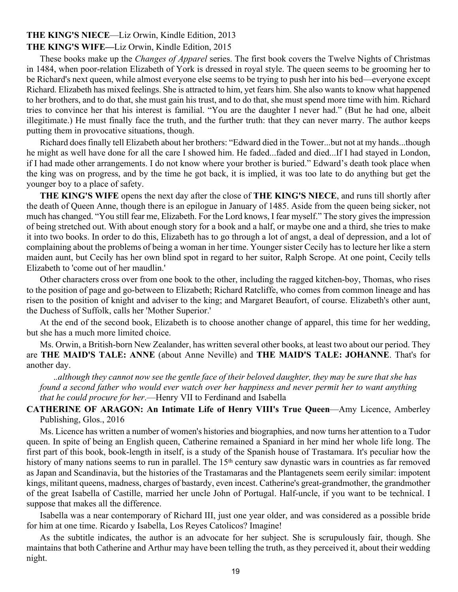### **THE KING'S NIECE**—Liz Orwin, Kindle Edition, 2013

#### **THE KING'S WIFE—**Liz Orwin, Kindle Edition, 2015

These books make up the *Changes of Apparel* series. The first book covers the Twelve Nights of Christmas in 1484, when poor-relation Elizabeth of York is dressed in royal style. The queen seems to be grooming her to be Richard's next queen, while almost everyone else seems to be trying to push her into his bed—everyone except Richard. Elizabeth has mixed feelings. She is attracted to him, yet fears him. She also wants to know what happened to her brothers, and to do that, she must gain his trust, and to do that, she must spend more time with him. Richard tries to convince her that his interest is familial. "You are the daughter I never had." (But he had one, albeit illegitimate.) He must finally face the truth, and the further truth: that they can never marry. The author keeps putting them in provocative situations, though.

Richard does finally tell Elizabeth about her brothers: "Edward died in the Tower...but not at my hands...though he might as well have done for all the care I showed him. He faded...faded and died...If I had stayed in London, if I had made other arrangements. I do not know where your brother is buried." Edward's death took place when the king was on progress, and by the time he got back, it is implied, it was too late to do anything but get the younger boy to a place of safety.

**THE KING'S WIFE** opens the next day after the close of **THE KING'S NIECE**, and runs till shortly after the death of Queen Anne, though there is an epilogue in January of 1485. Aside from the queen being sicker, not much has changed. "You still fear me, Elizabeth. For the Lord knows, I fear myself." The story gives the impression of being stretched out. With about enough story for a book and a half, or maybe one and a third, she tries to make it into two books. In order to do this, Elizabeth has to go through a lot of angst, a deal of depression, and a lot of complaining about the problems of being a woman in her time. Younger sister Cecily has to lecture her like a stern maiden aunt, but Cecily has her own blind spot in regard to her suitor, Ralph Scrope. At one point, Cecily tells Elizabeth to 'come out of her maudlin.'

Other characters cross over from one book to the other, including the ragged kitchen-boy, Thomas, who rises to the position of page and go-between to Elizabeth; Richard Ratcliffe, who comes from common lineage and has risen to the position of knight and adviser to the king; and Margaret Beaufort, of course. Elizabeth's other aunt, the Duchess of Suffolk, calls her 'Mother Superior.'

At the end of the second book, Elizabeth is to choose another change of apparel, this time for her wedding, but she has a much more limited choice.

Ms. Orwin, a British-born New Zealander, has written several other books, at least two about our period. They are **THE MAID'S TALE: ANNE** (about Anne Neville) and **THE MAID'S TALE: JOHANNE**. That's for another day.

.*.although they cannot now see the gentle face of their beloved daughter, they may be sure that she has found a second father who would ever watch over her happiness and never permit her to want anything that he could procure for her*.—Henry VII to Ferdinand and Isabella

#### **CATHERINE OF ARAGON: An Intimate Life of Henry VIII's True Queen**—Amy Licence, Amberley Publishing, Glos., 2016

Ms. Licence has written a number of women's histories and biographies, and now turns her attention to a Tudor queen. In spite of being an English queen, Catherine remained a Spaniard in her mind her whole life long. The first part of this book, book-length in itself, is a study of the Spanish house of Trastamara. It's peculiar how the history of many nations seems to run in parallel. The 15<sup>th</sup> century saw dynastic wars in countries as far removed as Japan and Scandinavia, but the histories of the Trastamaras and the Plantagenets seem eerily similar: impotent kings, militant queens, madness, charges of bastardy, even incest. Catherine's great-grandmother, the grandmother of the great Isabella of Castille, married her uncle John of Portugal. Half-uncle, if you want to be technical. I suppose that makes all the difference.

Isabella was a near contemporary of Richard III, just one year older, and was considered as a possible bride for him at one time. Ricardo y Isabella, Los Reyes Catolicos? Imagine!

As the subtitle indicates, the author is an advocate for her subject. She is scrupulously fair, though. She maintains that both Catherine and Arthur may have been telling the truth, as they perceived it, about their wedding night.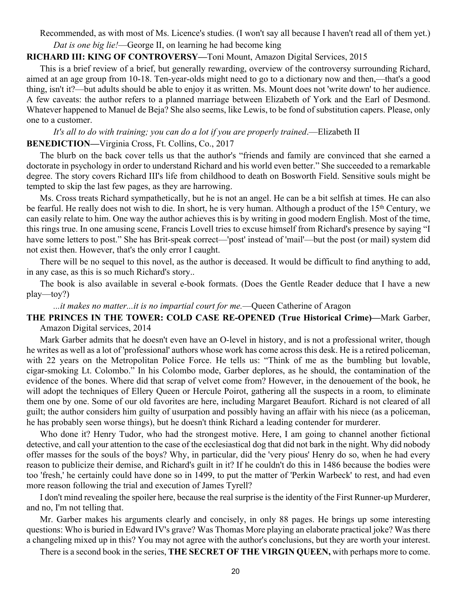Recommended, as with most of Ms. Licence's studies. (I won't say all because I haven't read all of them yet.) *Dat is one big lie!*—George II, on learning he had become king

#### **RICHARD III: KING OF CONTROVERSY—**Toni Mount, Amazon Digital Services, 2015

This is a brief review of a brief, but generally rewarding, overview of the controversy surrounding Richard, aimed at an age group from 10-18. Ten-year-olds might need to go to a dictionary now and then,—that's a good thing, isn't it?—but adults should be able to enjoy it as written. Ms. Mount does not 'write down' to her audience. A few caveats: the author refers to a planned marriage between Elizabeth of York and the Earl of Desmond. Whatever happened to Manuel de Beja? She also seems, like Lewis, to be fond of substitution capers. Please, only one to a customer.

## *It's all to do with training; you can do a lot if you are properly trained*.—Elizabeth II **BENEDICTION—**Virginia Cross, Ft. Collins, Co., 2017

The blurb on the back cover tells us that the author's "friends and family are convinced that she earned a doctorate in psychology in order to understand Richard and his world even better." She succeeded to a remarkable degree. The story covers Richard III's life from childhood to death on Bosworth Field. Sensitive souls might be tempted to skip the last few pages, as they are harrowing.

Ms. Cross treats Richard sympathetically, but he is not an angel. He can be a bit selfish at times. He can also be fearful. He really does not wish to die. In short, he is very human. Although a product of the 15<sup>th</sup> Century, we can easily relate to him. One way the author achieves this is by writing in good modern English. Most of the time, this rings true. In one amusing scene, Francis Lovell tries to excuse himself from Richard's presence by saying "I have some letters to post." She has Brit-speak correct—'post' instead of 'mail'—but the post (or mail) system did not exist then. However, that's the only error I caught.

There will be no sequel to this novel, as the author is deceased. It would be difficult to find anything to add, in any case, as this is so much Richard's story..

The book is also available in several e-book formats. (Does the Gentle Reader deduce that I have a new play—toy?)

*...it makes no matter...it is no impartial court for me.*—Queen Catherine of Aragon

#### **THE PRINCES IN THE TOWER: COLD CASE RE-OPENED (True Historical Crime)—**Mark Garber, Amazon Digital services, 2014

Mark Garber admits that he doesn't even have an O-level in history, and is not a professional writer, though he writes as well as a lot of 'professional' authors whose work has come across this desk. He is a retired policeman, with 22 years on the Metropolitan Police Force. He tells us: "Think of me as the bumbling but lovable, cigar-smoking Lt. Colombo." In his Colombo mode, Garber deplores, as he should, the contamination of the evidence of the bones. Where did that scrap of velvet come from? However, in the denouement of the book, he will adopt the techniques of Ellery Queen or Hercule Poirot, gathering all the suspects in a room, to eliminate them one by one. Some of our old favorites are here, including Margaret Beaufort. Richard is not cleared of all guilt; the author considers him guilty of usurpation and possibly having an affair with his niece (as a policeman, he has probably seen worse things), but he doesn't think Richard a leading contender for murderer.

Who done it? Henry Tudor, who had the strongest motive. Here, I am going to channel another fictional detective, and call your attention to the case of the ecclesiastical dog that did not bark in the night. Why did nobody offer masses for the souls of the boys? Why, in particular, did the 'very pious' Henry do so, when he had every reason to publicize their demise, and Richard's guilt in it? If he couldn't do this in 1486 because the bodies were too 'fresh,' he certainly could have done so in 1499, to put the matter of 'Perkin Warbeck' to rest, and had even more reason following the trial and execution of James Tyrell?

I don't mind revealing the spoiler here, because the real surprise is the identity of the First Runner-up Murderer, and no, I'm not telling that.

Mr. Garber makes his arguments clearly and concisely, in only 88 pages. He brings up some interesting questions: Who is buried in Edward IV's grave? Was Thomas More playing an elaborate practical joke? Was there a changeling mixed up in this? You may not agree with the author's conclusions, but they are worth your interest.

There is a second book in the series, **THE SECRET OF THE VIRGIN QUEEN,** with perhaps more to come.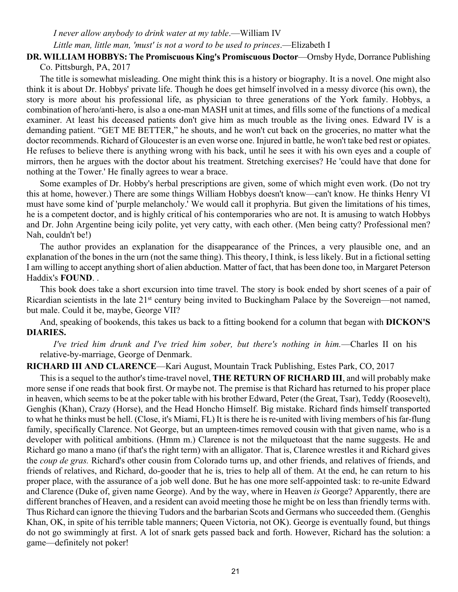#### *I never allow anybody to drink water at my table*.—William IV *Little man, little man, 'must' is not a word to be used to princes*.—Elizabeth I

#### **DR. WILLIAM HOBBYS: The Promiscuous King's Promiscuous Doctor**—Ornsby Hyde, Dorrance Publishing Co. Pittsburgh, PA, 2017

The title is somewhat misleading. One might think this is a history or biography. It is a novel. One might also think it is about Dr. Hobbys' private life. Though he does get himself involved in a messy divorce (his own), the story is more about his professional life, as physician to three generations of the York family. Hobbys, a combination of hero/anti-hero, is also a one-man MASH unit at times, and fills some of the functions of a medical examiner. At least his deceased patients don't give him as much trouble as the living ones. Edward IV is a demanding patient. "GET ME BETTER," he shouts, and he won't cut back on the groceries, no matter what the doctor recommends. Richard of Gloucester is an even worse one. Injured in battle, he won't take bed rest or opiates. He refuses to believe there is anything wrong with his back, until he sees it with his own eyes and a couple of mirrors, then he argues with the doctor about his treatment. Stretching exercises? He 'could have that done for nothing at the Tower.' He finally agrees to wear a brace.

Some examples of Dr. Hobby's herbal prescriptions are given, some of which might even work. (Do not try this at home, however.) There are some things William Hobbys doesn't know—can't know. He thinks Henry VI must have some kind of 'purple melancholy.' We would call it prophyria. But given the limitations of his times, he is a competent doctor, and is highly critical of his contemporaries who are not. It is amusing to watch Hobbys and Dr. John Argentine being icily polite, yet very catty, with each other. (Men being catty? Professional men? Nah, couldn't be!)

The author provides an explanation for the disappearance of the Princes, a very plausible one, and an explanation of the bones in the urn (not the same thing). This theory, I think, is less likely. But in a fictional setting I am willing to accept anything short of alien abduction. Matter of fact, that has been done too, in Margaret Peterson Haddix's **FOUND**. .

This book does take a short excursion into time travel. The story is book ended by short scenes of a pair of Ricardian scientists in the late 21st century being invited to Buckingham Palace by the Sovereign—not named, but male. Could it be, maybe, George VII?

And, speaking of bookends, this takes us back to a fitting bookend for a column that began with **DICKON'S DIARIES.**

#### *I've tried him drunk and I've tried him sober, but there's nothing in him.*—Charles II on his relative-by-marriage, George of Denmark.

#### **RICHARD III AND CLARENCE**—Kari August, Mountain Track Publishing, Estes Park, CO, 2017

This is a sequel to the author's time-travel novel, **THE RETURN OF RICHARD III**, and will probably make more sense if one reads that book first. Or maybe not. The premise is that Richard has returned to his proper place in heaven, which seems to be at the poker table with his brother Edward, Peter (the Great, Tsar), Teddy (Roosevelt), Genghis (Khan), Crazy (Horse), and the Head Honcho Himself. Big mistake. Richard finds himself transported to what he thinks must be hell. (Close, it's Miami, FL) It is there he is re-united with living members of his far-flung family, specifically Clarence. Not George, but an umpteen-times removed cousin with that given name, who is a developer with political ambitions. (Hmm m.) Clarence is not the milquetoast that the name suggests. He and Richard go mano a mano (if that's the right term) with an alligator. That is, Clarence wrestles it and Richard gives the *coup de gras.* Richard's other cousin from Colorado turns up, and other friends, and relatives of friends, and friends of relatives, and Richard, do-gooder that he is, tries to help all of them. At the end, he can return to his proper place, with the assurance of a job well done. But he has one more self-appointed task: to re-unite Edward and Clarence (Duke of, given name George). And by the way, where in Heaven *is* George? Apparently, there are different branches of Heaven, and a resident can avoid meeting those he might be on less than friendly terms with. Thus Richard can ignore the thieving Tudors and the barbarian Scots and Germans who succeeded them. (Genghis Khan, OK, in spite of his terrible table manners; Queen Victoria, not OK). George is eventually found, but things do not go swimmingly at first. A lot of snark gets passed back and forth. However, Richard has the solution: a game—definitely not poker!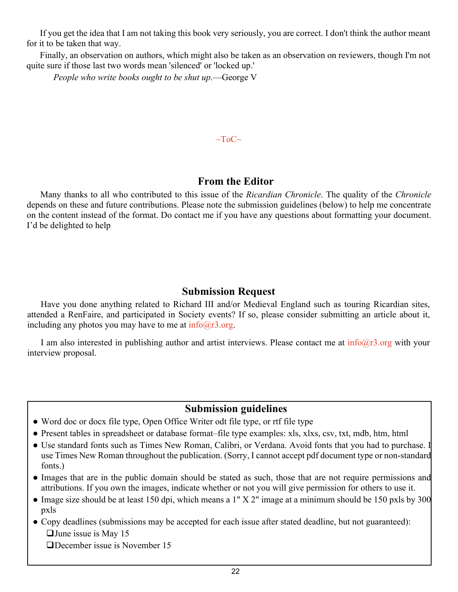<span id="page-21-0"></span>If you get the idea that I am not taking this book very seriously, you are correct. I don't think the author meant for it to be taken that way.

Finally, an observation on authors, which might also be taken as an observation on reviewers, though I'm not quite sure if those last two words mean 'silenced' or 'locked up.'

*People who write books ought to be shut up*.—George V

#### $\sim$ ToC $\sim$

## **From the Editor**

Many thanks to all who contributed to this issue of the *Ricardian Chronicle*. The quality of the *Chronicle* depends on these and future contributions. Please note the submission guidelines (below) to help me concentrate on the content instead of the format. Do contact me if you have any questions about formatting your document. I'd be delighted to help

## **Submission Request**

Have you done anything related to Richard III and/or Medieval England such as touring Ricardian sites, attended a RenFaire, and participated in Society events? If so, please consider submitting an article about it, including any photos you may have to me at  $info@r3.org$ .

I am also interested in publishing author and artist interviews. Please contact me at  $info@r3.org$  with your interview proposal.

## **Submission guidelines**

- Word doc or docx file type, Open Office Writer odt file type, or rtf file type
- Present tables in spreadsheet or database format–file type examples: xls, xlxs, csv, txt, mdb, htm, html
- Use standard fonts such as Times New Roman, Calibri, or Verdana. Avoid fonts that you had to purchase. I use Times New Roman throughout the publication. (Sorry, I cannot accept pdf document type or non-standard fonts.)
- Images that are in the public domain should be stated as such, those that are not require permissions and attributions. If you own the images, indicate whether or not you will give permission for others to use it.
- Image size should be at least 150 dpi, which means a 1" X 2" image at a minimum should be 150 pxls by 300 pxls
- Copy deadlines (submissions may be accepted for each issue after stated deadline, but not guaranteed):  $\Box$  June issue is May 15

■December issue is November 15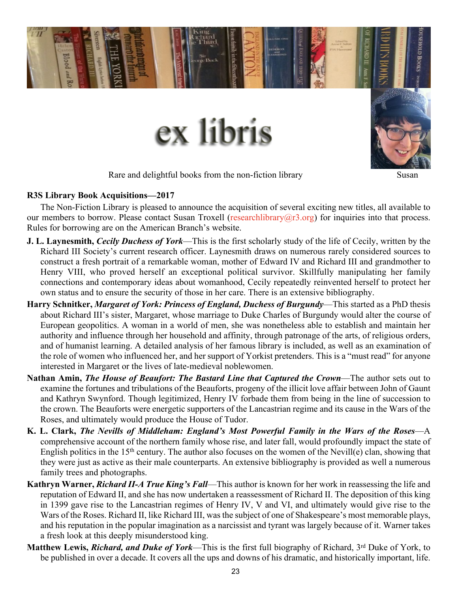<span id="page-22-0"></span>

Rare and delightful books from the non-fiction library measured in Susan

#### **R3S Library Book Acquisitions—2017**

The Non-Fiction Library is pleased to announce the acquisition of several exciting new titles, all available to our members to borrow. Please contact Susan Troxell (researchlibrary $(\partial r3.$ org) for inquiries into that process. Rules for borrowing are on the American Branch's website.

- **J. L. Laynesmith,** *Cecily Duchess of York*—This is the first scholarly study of the life of Cecily, written by the Richard III Society's current research officer. Laynesmith draws on numerous rarely considered sources to construct a fresh portrait of a remarkable woman, mother of Edward IV and Richard III and grandmother to Henry VIII, who proved herself an exceptional political survivor. Skillfully manipulating her family connections and contemporary ideas about womanhood, Cecily repeatedly reinvented herself to protect her own status and to ensure the security of those in her care. There is an extensive bibliography.
- **Harry Schnitker,** *Margaret of York: Princess of England, Duchess of Burgundy*—This started as a PhD thesis about Richard III's sister, Margaret, whose marriage to Duke Charles of Burgundy would alter the course of European geopolitics. A woman in a world of men, she was nonetheless able to establish and maintain her authority and influence through her household and affinity, through patronage of the arts, of religious orders, and of humanist learning. A detailed analysis of her famous library is included, as well as an examination of the role of women who influenced her, and her support of Yorkist pretenders. This is a "must read" for anyone interested in Margaret or the lives of late-medieval noblewomen.
- **Nathan Amin,** *The House of Beaufort: The Bastard Line that Captured the Crown*—The author sets out to examine the fortunes and tribulations of the Beauforts, progeny of the illicit love affair between John of Gaunt and Kathryn Swynford. Though legitimized, Henry IV forbade them from being in the line of succession to the crown. The Beauforts were energetic supporters of the Lancastrian regime and its cause in the Wars of the Roses, and ultimately would produce the House of Tudor.
- **K. L. Clark,** *The Nevills of Middleham: England's Most Powerful Family in the Wars of the Roses*—A comprehensive account of the northern family whose rise, and later fall, would profoundly impact the state of English politics in the 15<sup>th</sup> century. The author also focuses on the women of the Nevill(e) clan, showing that they were just as active as their male counterparts. An extensive bibliography is provided as well a numerous family trees and photographs.
- **Kathryn Warner,** *Richard II-A True King's Fall*—This author is known for her work in reassessing the life and reputation of Edward II, and she has now undertaken a reassessment of Richard II. The deposition of this king in 1399 gave rise to the Lancastrian regimes of Henry IV, V and VI, and ultimately would give rise to the Wars of the Roses. Richard II, like Richard III, was the subject of one of Shakespeare's most memorable plays, and his reputation in the popular imagination as a narcissist and tyrant was largely because of it. Warner takes a fresh look at this deeply misunderstood king.
- **Matthew Lewis,** *Richard, and Duke of York***—This is the first full biography of Richard, 3<sup>rd</sup> Duke of York, to** be published in over a decade. It covers all the ups and downs of his dramatic, and historically important, life.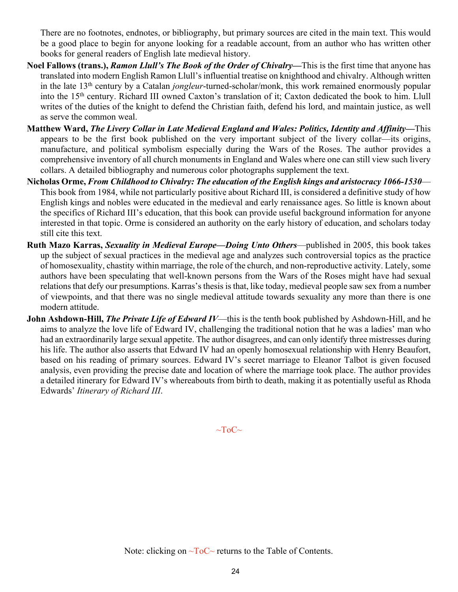There are no footnotes, endnotes, or bibliography, but primary sources are cited in the main text. This would be a good place to begin for anyone looking for a readable account, from an author who has written other books for general readers of English late medieval history.

- **Noel Fallows (trans.),** *Ramon Llull's The Book of the Order of Chivalry***—**This is the first time that anyone has translated into modern English Ramon Llull's influential treatise on knighthood and chivalry. Although written in the late 13th century by a Catalan *jongleur*-turned-scholar/monk, this work remained enormously popular into the 15th century. Richard III owned Caxton's translation of it; Caxton dedicated the book to him. Llull writes of the duties of the knight to defend the Christian faith, defend his lord, and maintain justice, as well as serve the common weal.
- **Matthew Ward,** *The Livery Collar in Late Medieval England and Wales: Politics, Identity and Affinity***—**This appears to be the first book published on the very important subject of the livery collar—its origins, manufacture, and political symbolism especially during the Wars of the Roses. The author provides a comprehensive inventory of all church monuments in England and Wales where one can still view such livery collars. A detailed bibliography and numerous color photographs supplement the text.
- **Nicholas Orme,** *From Childhood to Chivalry: The education of the English kings and aristocracy 1066-1530* This book from 1984, while not particularly positive about Richard III, is considered a definitive study of how English kings and nobles were educated in the medieval and early renaissance ages. So little is known about the specifics of Richard III's education, that this book can provide useful background information for anyone interested in that topic. Orme is considered an authority on the early history of education, and scholars today still cite this text.
- **Ruth Mazo Karras,** *Sexuality in Medieval Europe—Doing Unto Others*—published in 2005, this book takes up the subject of sexual practices in the medieval age and analyzes such controversial topics as the practice of homosexuality, chastity within marriage, the role of the church, and non-reproductive activity. Lately, some authors have been speculating that well-known persons from the Wars of the Roses might have had sexual relations that defy our presumptions. Karras's thesis is that, like today, medieval people saw sex from a number of viewpoints, and that there was no single medieval attitude towards sexuality any more than there is one modern attitude.
- **John Ashdown-Hill,** *The Private Life of Edward IV***—this is the tenth book published by Ashdown-Hill, and he** aims to analyze the love life of Edward IV, challenging the traditional notion that he was a ladies' man who had an extraordinarily large sexual appetite. The author disagrees, and can only identify three mistresses during his life. The author also asserts that Edward IV had an openly homosexual relationship with Henry Beaufort, based on his reading of primary sources. Edward IV's secret marriage to Eleanor Talbot is given focused analysis, even providing the precise date and location of where the marriage took place. The author provides a detailed itinerary for Edward IV's whereabouts from birth to death, making it as potentially useful as Rhoda Edwards' *Itinerary of Richard III*.

 $\sim$ ToC $\sim$ 

Note: clicking on  $\neg$ ToC $\sim$  returns to the Table of Contents.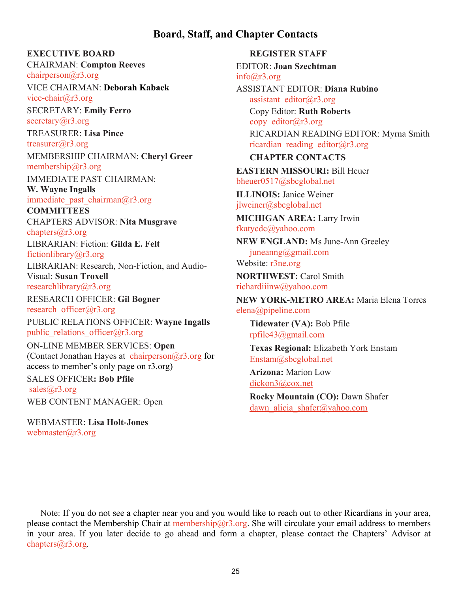## **Board, Staff, and Chapter Contacts**

#### <span id="page-24-0"></span>**EXECUTIVE BOARD**

CHAIRMAN: **Compton Reeves** [chairperson@r3.org](mailto:chairperson@r3.org)

VICE CHAIRMAN: **Deborah Kaback** [vice-chair@r3.org](mailto:vice-chair@r3.org)

SECRETARY: **Emily Ferro** secretary $(a)$ r3.org

TREASURER: **Lisa Pince** [treasurer@r3.org](mailto:treasurer@r3.org) MEMBERSHIP CHAIRMAN: **Cheryl Greer** membership@ $r3.org$ 

IMMEDIATE PAST CHAIRMAN: **W. Wayne Ingalls**

immediate past chairman $@r3.org$ 

**COMMITTEES** CHAPTERS ADVISOR: **Nita Musgrave** [chapters@r3.org](mailto:chapters@r3.org)

LIBRARIAN: Fiction: **Gilda E. Felt**

[fictionlibrary@r3.org](mailto:fictionlibrary@r3.org)

LIBRARIAN: Research, Non-Fiction, and Audio-Visual: **Susan Troxell**

[researchlibrary@r3.org](mailto:researchlibrary@r3.org)

RESEARCH OFFICER: **Gil Bogner** [research\\_officer@r3.org](mailto:research_officer@r3.org)

PUBLIC RELATIONS OFFICER: **Wayne Ingalls** public relations officer $@r3.org$ 

ON-LINE MEMBER SERVICES: **Open** (Contact Jonathan Hayes at chairperson $@r3.org$  for access to member's only page on r3.org) SALES OFFICER**: Bob Pfile** [sales@r3.org](mailto:sales@r3.org)

WEB CONTENT MANAGER: Open

WEBMASTER: **Lisa Holt-Jones** [webmaster@r3.org](mailto:webmaster@r3.org)

**REGISTER STAFF** EDITOR: **Joan Szechtman** [info@r3.org](mailto:info@r3.org) ASSISTANT EDITOR: **Diana Rubino** [assistant\\_editor@r3.org](mailto:assistant_editor@r3.org) Copy Editor: **Ruth Roberts** copy editor@r3.org RICARDIAN READING EDITOR: Myrna Smith ricardian reading editor $@r3.org$ **CHAPTER CONTACTS EASTERN MISSOURI:** Bill Heuer [bheuer0517@sbcglobal.net](mailto:bheuer0517@sbcglobal.net) **ILLINOIS:** Janice Weiner [jlweiner@sbcglobal.net](mailto:jlweiner@sbcglobal.net) **MICHIGAN AREA:** Larry Irwin [fkatycdc@yahoo.com](mailto:fkatycdc@yahoo.com) **NEW ENGLAND:** Ms June-Ann Greeley [juneanng@gmail.com](mailto:juneanng@gmail.com) Website: [r3ne.org](http://r3ne.org/) **NORTHWEST:** Carol Smith [richardiiinw@yahoo.com](mailto:richardiiinw@yahoo.com) **NEW YORK-METRO AREA:** Maria Elena Torres [elena@pipeline.com](mailto:elena@pipeline.com) **Tidewater (VA):** Bob Pfile [rpfile43@gmail.com](mailto:rpfile43@gmail.com) **Texas Regional:** Elizabeth York Enstam [Enstam@sbcglobal.net](mailto:Enstam@sbcglobal.net) **Arizona:** Marion Low [dickon3@cox.net](mailto:dickon3@cox.net) **Rocky Mountain (CO):** Dawn Shafer

dawn alicia shafer@yahoo.com

Note: If you do not see a chapter near you and you would like to reach out to other Ricardians in your area, please contact the Membership Chair at [membership@r3.org.](mailto:membership@r3.org) She will circulate your email address to members in your area. If you later decide to go ahead and form a chapter, please contact the Chapters' Advisor at [chapters@r3.org](mailto:chapters@r3.org).